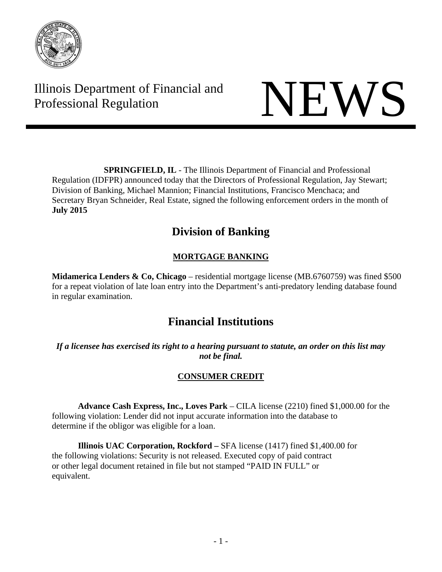

Illinois Department of Financial and Illinois Department of Financial and<br>Professional Regulation NEWS



**SPRINGFIELD, IL** - The Illinois Department of Financial and Professional Regulation (IDFPR) announced today that the Directors of Professional Regulation, Jay Stewart; Division of Banking, Michael Mannion; Financial Institutions, Francisco Menchaca; and Secretary Bryan Schneider, Real Estate, signed the following enforcement orders in the month of **July 2015** 

# **Division of Banking**

## **MORTGAGE BANKING**

**Midamerica Lenders & Co, Chicago** – residential mortgage license (MB.6760759) was fined \$500 for a repeat violation of late loan entry into the Department's anti-predatory lending database found in regular examination.

# **Financial Institutions**

*If a licensee has exercised its right to a hearing pursuant to statute, an order on this list may not be final.* 

## **CONSUMER CREDIT**

**Advance Cash Express, Inc., Loves Park** – CILA license (2210) fined \$1,000.00 for the following violation: Lender did not input accurate information into the database to determine if the obligor was eligible for a loan.

 **Illinois UAC Corporation, Rockford –** SFA license (1417) fined \$1,400.00 for the following violations: Security is not released. Executed copy of paid contract or other legal document retained in file but not stamped "PAID IN FULL" or equivalent.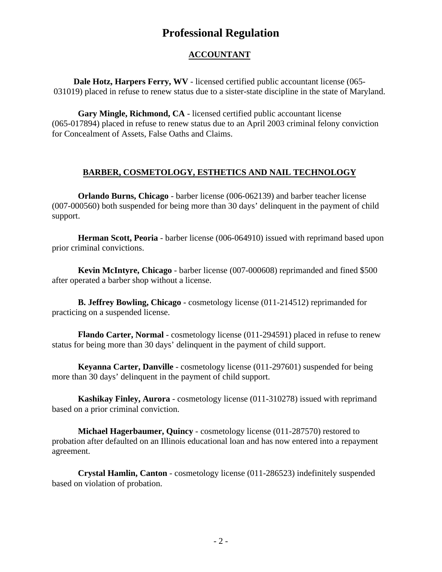## **Professional Regulation**

## **ACCOUNTANT**

**Dale Hotz, Harpers Ferry, WV** - licensed certified public accountant license (065- 031019) placed in refuse to renew status due to a sister-state discipline in the state of Maryland.

**Gary Mingle, Richmond, CA** - licensed certified public accountant license (065-017894) placed in refuse to renew status due to an April 2003 criminal felony conviction for Concealment of Assets, False Oaths and Claims.

### **BARBER, COSMETOLOGY, ESTHETICS AND NAIL TECHNOLOGY**

**Orlando Burns, Chicago** - barber license (006-062139) and barber teacher license (007-000560) both suspended for being more than 30 days' delinquent in the payment of child support.

**Herman Scott, Peoria** - barber license (006-064910) issued with reprimand based upon prior criminal convictions.

**Kevin McIntyre, Chicago** - barber license (007-000608) reprimanded and fined \$500 after operated a barber shop without a license.

**B. Jeffrey Bowling, Chicago** - cosmetology license (011-214512) reprimanded for practicing on a suspended license.

**Flando Carter, Normal** - cosmetology license (011-294591) placed in refuse to renew status for being more than 30 days' delinquent in the payment of child support.

**Keyanna Carter, Danville** - cosmetology license (011-297601) suspended for being more than 30 days' delinquent in the payment of child support.

**Kashikay Finley, Aurora** - cosmetology license (011-310278) issued with reprimand based on a prior criminal conviction.

**Michael Hagerbaumer, Quincy** - cosmetology license (011-287570) restored to probation after defaulted on an Illinois educational loan and has now entered into a repayment agreement.

**Crystal Hamlin, Canton** - cosmetology license (011-286523) indefinitely suspended based on violation of probation.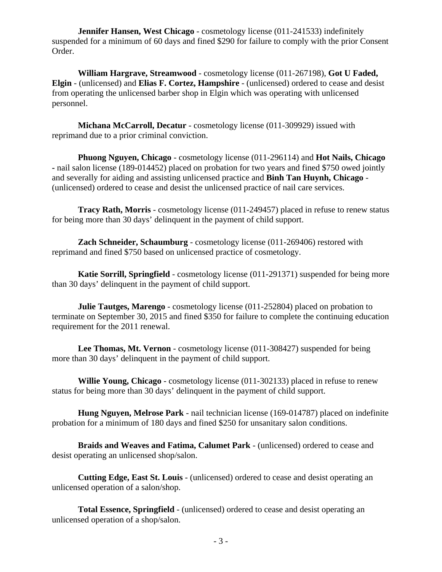**Jennifer Hansen, West Chicago** - cosmetology license (011-241533) indefinitely suspended for a minimum of 60 days and fined \$290 for failure to comply with the prior Consent Order.

**William Hargrave, Streamwood** - cosmetology license (011-267198), **Got U Faded, Elgin** - (unlicensed) and **Elias F. Cortez, Hampshire** - (unlicensed) ordered to cease and desist from operating the unlicensed barber shop in Elgin which was operating with unlicensed personnel.

**Michana McCarroll, Decatur** - cosmetology license (011-309929) issued with reprimand due to a prior criminal conviction.

**Phuong Nguyen, Chicago** - cosmetology license (011-296114) and **Hot Nails, Chicago -** nail salon license (189-014452) placed on probation for two years and fined \$750 owed jointly and severally for aiding and assisting unlicensed practice and **Binh Tan Huynh, Chicago** - (unlicensed) ordered to cease and desist the unlicensed practice of nail care services.

**Tracy Rath, Morris** - cosmetology license (011-249457) placed in refuse to renew status for being more than 30 days' delinquent in the payment of child support.

**Zach Schneider, Schaumburg** - cosmetology license (011-269406) restored with reprimand and fined \$750 based on unlicensed practice of cosmetology.

**Katie Sorrill, Springfield** - cosmetology license (011-291371) suspended for being more than 30 days' delinquent in the payment of child support.

**Julie Tautges, Marengo** - cosmetology license (011-252804) placed on probation to terminate on September 30, 2015 and fined \$350 for failure to complete the continuing education requirement for the 2011 renewal.

**Lee Thomas, Mt. Vernon** - cosmetology license (011-308427) suspended for being more than 30 days' delinquent in the payment of child support.

**Willie Young, Chicago** - cosmetology license (011-302133) placed in refuse to renew status for being more than 30 days' delinquent in the payment of child support.

**Hung Nguyen, Melrose Park** - nail technician license (169-014787) placed on indefinite probation for a minimum of 180 days and fined \$250 for unsanitary salon conditions.

**Braids and Weaves and Fatima, Calumet Park** - (unlicensed) ordered to cease and desist operating an unlicensed shop/salon.

**Cutting Edge, East St. Louis** - (unlicensed) ordered to cease and desist operating an unlicensed operation of a salon/shop.

**Total Essence, Springfield** - (unlicensed) ordered to cease and desist operating an unlicensed operation of a shop/salon.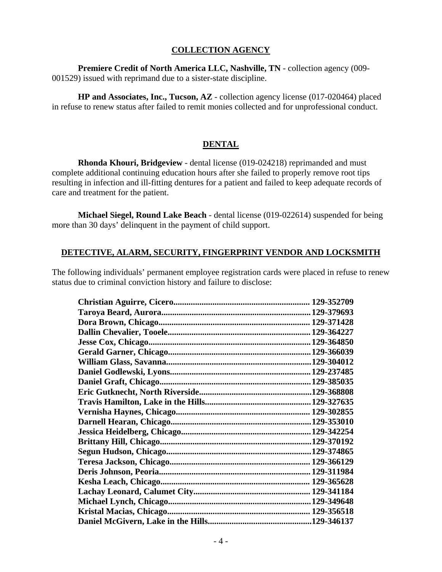#### **COLLECTION AGENCY**

**Premiere Credit of North America LLC, Nashville, TN** - collection agency (009- 001529) issued with reprimand due to a sister-state discipline.

**HP and Associates, Inc., Tucson, AZ** - collection agency license (017-020464) placed in refuse to renew status after failed to remit monies collected and for unprofessional conduct.

#### **DENTAL**

 **Rhonda Khouri, Bridgeview** - dental license (019-024218) reprimanded and must complete additional continuing education hours after she failed to properly remove root tips resulting in infection and ill-fitting dentures for a patient and failed to keep adequate records of care and treatment for the patient.

**Michael Siegel, Round Lake Beach** - dental license (019-022614) suspended for being more than 30 days' delinquent in the payment of child support.

#### **DETECTIVE, ALARM, SECURITY, FINGERPRINT VENDOR AND LOCKSMITH**

The following individuals' permanent employee registration cards were placed in refuse to renew status due to criminal conviction history and failure to disclose:

| .129-346137 |
|-------------|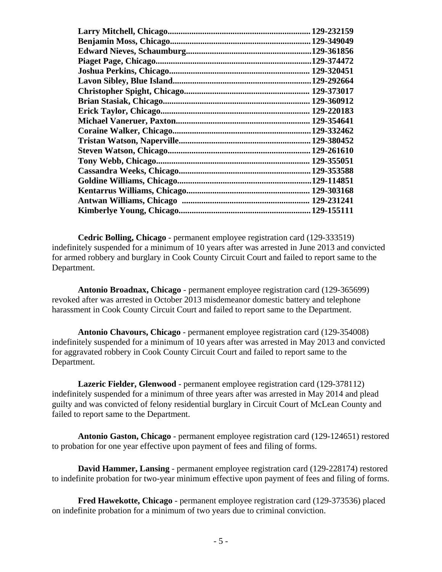|                                   | 129-232159   |
|-----------------------------------|--------------|
|                                   |              |
|                                   | .129-361856  |
| <b>Piaget Page, Chicago</b>       | .129-374472  |
|                                   |              |
| <b>Lavon Sibley, Blue Island.</b> | .129-292664  |
|                                   |              |
|                                   | 129-360912   |
|                                   |              |
|                                   | 129-354641   |
| Coraine Walker, Chicago.          | .129-332462  |
|                                   | 129-380452   |
|                                   | . 129-261610 |
|                                   |              |
|                                   | .129-353588  |
|                                   | .129-114851  |
|                                   | 129-303168   |
|                                   | 129-231241   |
|                                   | 129-155111   |

**Cedric Bolling, Chicago** - permanent employee registration card (129-333519) indefinitely suspended for a minimum of 10 years after was arrested in June 2013 and convicted for armed robbery and burglary in Cook County Circuit Court and failed to report same to the Department.

**Antonio Broadnax, Chicago** - permanent employee registration card (129-365699) revoked after was arrested in October 2013 misdemeanor domestic battery and telephone harassment in Cook County Circuit Court and failed to report same to the Department.

**Antonio Chavours, Chicago** - permanent employee registration card (129-354008) indefinitely suspended for a minimum of 10 years after was arrested in May 2013 and convicted for aggravated robbery in Cook County Circuit Court and failed to report same to the Department.

**Lazeric Fielder, Glenwood** - permanent employee registration card (129-378112) indefinitely suspended for a minimum of three years after was arrested in May 2014 and plead guilty and was convicted of felony residential burglary in Circuit Court of McLean County and failed to report same to the Department.

**Antonio Gaston, Chicago** - permanent employee registration card (129-124651) restored to probation for one year effective upon payment of fees and filing of forms.

**David Hammer, Lansing** - permanent employee registration card (129-228174) restored to indefinite probation for two-year minimum effective upon payment of fees and filing of forms.

**Fred Hawekotte, Chicago** - permanent employee registration card (129-373536) placed on indefinite probation for a minimum of two years due to criminal conviction.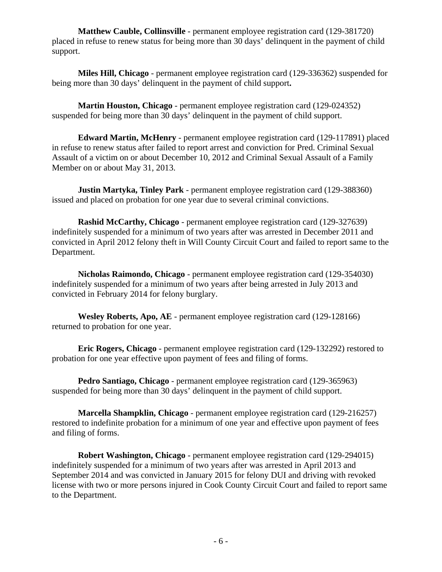**Matthew Cauble, Collinsville** - permanent employee registration card (129-381720) placed in refuse to renew status for being more than 30 days' delinquent in the payment of child support.

**Miles Hill, Chicago** - permanent employee registration card (129-336362) suspended for being more than 30 days' delinquent in the payment of child support**.** 

**Martin Houston, Chicago** - permanent employee registration card (129-024352) suspended for being more than 30 days' delinquent in the payment of child support.

**Edward Martin, McHenry** - permanent employee registration card (129-117891) placed in refuse to renew status after failed to report arrest and conviction for Pred. Criminal Sexual Assault of a victim on or about December 10, 2012 and Criminal Sexual Assault of a Family Member on or about May 31, 2013.

**Justin Martyka, Tinley Park** - permanent employee registration card (129-388360) issued and placed on probation for one year due to several criminal convictions.

**Rashid McCarthy, Chicago** - permanent employee registration card (129-327639) indefinitely suspended for a minimum of two years after was arrested in December 2011 and convicted in April 2012 felony theft in Will County Circuit Court and failed to report same to the Department.

**Nicholas Raimondo, Chicago** - permanent employee registration card (129-354030) indefinitely suspended for a minimum of two years after being arrested in July 2013 and convicted in February 2014 for felony burglary.

**Wesley Roberts, Apo, AE** - permanent employee registration card (129-128166) returned to probation for one year.

**Eric Rogers, Chicago** - permanent employee registration card (129-132292) restored to probation for one year effective upon payment of fees and filing of forms.

**Pedro Santiago, Chicago** - permanent employee registration card (129-365963) suspended for being more than 30 days' delinquent in the payment of child support.

**Marcella Shampklin, Chicago** - permanent employee registration card (129-216257) restored to indefinite probation for a minimum of one year and effective upon payment of fees and filing of forms.

**Robert Washington, Chicago** - permanent employee registration card (129-294015) indefinitely suspended for a minimum of two years after was arrested in April 2013 and September 2014 and was convicted in January 2015 for felony DUI and driving with revoked license with two or more persons injured in Cook County Circuit Court and failed to report same to the Department.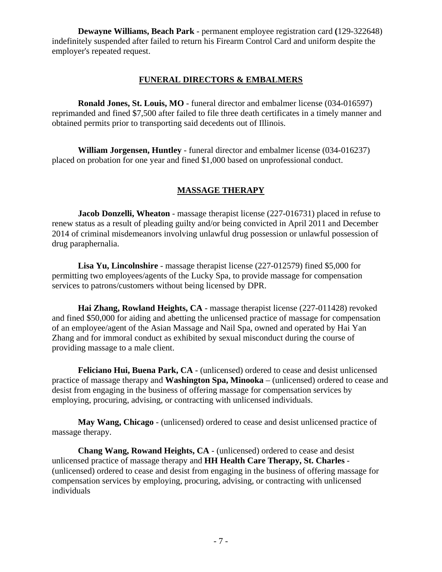**Dewayne Williams, Beach Park** - permanent employee registration card **(**129-322648) indefinitely suspended after failed to return his Firearm Control Card and uniform despite the employer's repeated request.

#### **FUNERAL DIRECTORS & EMBALMERS**

**Ronald Jones, St. Louis, MO** - funeral director and embalmer license (034-016597) reprimanded and fined \$7,500 after failed to file three death certificates in a timely manner and obtained permits prior to transporting said decedents out of Illinois.

**William Jorgensen, Huntley** - funeral director and embalmer license (034-016237) placed on probation for one year and fined \$1,000 based on unprofessional conduct.

#### **MASSAGE THERAPY**

**Jacob Donzelli, Wheaton** - massage therapist license (227-016731) placed in refuse to renew status as a result of pleading guilty and/or being convicted in April 2011 and December 2014 of criminal misdemeanors involving unlawful drug possession or unlawful possession of drug paraphernalia.

**Lisa Yu, Lincolnshire** - massage therapist license (227-012579) fined \$5,000 for permitting two employees/agents of the Lucky Spa, to provide massage for compensation services to patrons/customers without being licensed by DPR.

**Hai Zhang, Rowland Heights, CA** - massage therapist license (227-011428) revoked and fined \$50,000 for aiding and abetting the unlicensed practice of massage for compensation of an employee/agent of the Asian Massage and Nail Spa, owned and operated by Hai Yan Zhang and for immoral conduct as exhibited by sexual misconduct during the course of providing massage to a male client.

**Feliciano Hui, Buena Park, CA** - (unlicensed) ordered to cease and desist unlicensed practice of massage therapy and **Washington Spa, Minooka** – (unlicensed) ordered to cease and desist from engaging in the business of offering massage for compensation services by employing, procuring, advising, or contracting with unlicensed individuals.

**May Wang, Chicago** - (unlicensed) ordered to cease and desist unlicensed practice of massage therapy.

**Chang Wang, Rowand Heights, CA** - (unlicensed) ordered to cease and desist unlicensed practice of massage therapy and **HH Health Care Therapy, St. Charles** - (unlicensed) ordered to cease and desist from engaging in the business of offering massage for compensation services by employing, procuring, advising, or contracting with unlicensed individuals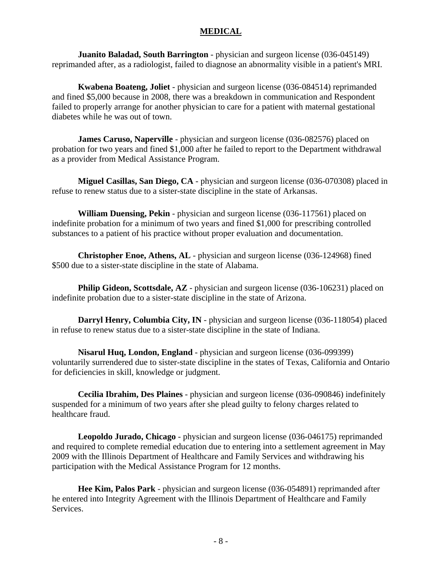#### **MEDICAL**

**Juanito Baladad, South Barrington** - physician and surgeon license (036-045149) reprimanded after, as a radiologist, failed to diagnose an abnormality visible in a patient's MRI.

**Kwabena Boateng, Joliet** - physician and surgeon license (036-084514) reprimanded and fined \$5,000 because in 2008, there was a breakdown in communication and Respondent failed to properly arrange for another physician to care for a patient with maternal gestational diabetes while he was out of town.

**James Caruso, Naperville** - physician and surgeon license (036-082576) placed on probation for two years and fined \$1,000 after he failed to report to the Department withdrawal as a provider from Medical Assistance Program.

**Miguel Casillas, San Diego, CA** - physician and surgeon license (036-070308) placed in refuse to renew status due to a sister-state discipline in the state of Arkansas.

**William Duensing, Pekin** - physician and surgeon license (036-117561) placed on indefinite probation for a minimum of two years and fined \$1,000 for prescribing controlled substances to a patient of his practice without proper evaluation and documentation.

**Christopher Enoe, Athens, AL** - physician and surgeon license (036-124968) fined \$500 due to a sister-state discipline in the state of Alabama.

**Philip Gideon, Scottsdale, AZ** - physician and surgeon license (036-106231) placed on indefinite probation due to a sister-state discipline in the state of Arizona.

**Darryl Henry, Columbia City, IN** - physician and surgeon license (036-118054) placed in refuse to renew status due to a sister-state discipline in the state of Indiana.

**Nisarul Huq, London, England** - physician and surgeon license (036-099399) voluntarily surrendered due to sister-state discipline in the states of Texas, California and Ontario for deficiencies in skill, knowledge or judgment.

**Cecilia Ibrahim, Des Plaines** - physician and surgeon license (036-090846) indefinitely suspended for a minimum of two years after she plead guilty to felony charges related to healthcare fraud.

**Leopoldo Jurado, Chicago** - physician and surgeon license (036-046175) reprimanded and required to complete remedial education due to entering into a settlement agreement in May 2009 with the Illinois Department of Healthcare and Family Services and withdrawing his participation with the Medical Assistance Program for 12 months.

**Hee Kim, Palos Park** - physician and surgeon license (036-054891) reprimanded after he entered into Integrity Agreement with the Illinois Department of Healthcare and Family Services.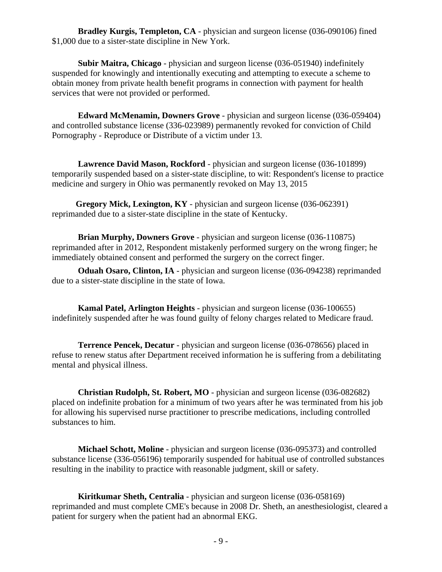**Bradley Kurgis, Templeton, CA** - physician and surgeon license (036-090106) fined \$1,000 due to a sister-state discipline in New York.

**Subir Maitra, Chicago** - physician and surgeon license (036-051940) indefinitely suspended for knowingly and intentionally executing and attempting to execute a scheme to obtain money from private health benefit programs in connection with payment for health services that were not provided or performed.

**Edward McMenamin, Downers Grove** - physician and surgeon license (036-059404) and controlled substance license (336-023989) permanently revoked for conviction of Child Pornography - Reproduce or Distribute of a victim under 13.

**Lawrence David Mason, Rockford** - physician and surgeon license (036-101899) temporarily suspended based on a sister-state discipline, to wit: Respondent's license to practice medicine and surgery in Ohio was permanently revoked on May 13, 2015

 **Gregory Mick, Lexington, KY** - physician and surgeon license (036-062391) reprimanded due to a sister-state discipline in the state of Kentucky.

**Brian Murphy, Downers Grove** - physician and surgeon license (036-110875) reprimanded after in 2012, Respondent mistakenly performed surgery on the wrong finger; he immediately obtained consent and performed the surgery on the correct finger.

**Oduah Osaro, Clinton, IA** - physician and surgeon license (036-094238) reprimanded due to a sister-state discipline in the state of Iowa.

**Kamal Patel, Arlington Heights** - physician and surgeon license (036-100655) indefinitely suspended after he was found guilty of felony charges related to Medicare fraud.

**Terrence Pencek, Decatur** - physician and surgeon license (036-078656) placed in refuse to renew status after Department received information he is suffering from a debilitating mental and physical illness.

**Christian Rudolph, St. Robert, MO** - physician and surgeon license (036-082682) placed on indefinite probation for a minimum of two years after he was terminated from his job for allowing his supervised nurse practitioner to prescribe medications, including controlled substances to him.

**Michael Schott, Moline** - physician and surgeon license (036-095373) and controlled substance license (336-056196) temporarily suspended for habitual use of controlled substances resulting in the inability to practice with reasonable judgment, skill or safety.

**Kiritkumar Sheth, Centralia** - physician and surgeon license (036-058169) reprimanded and must complete CME's because in 2008 Dr. Sheth, an anesthesiologist, cleared a patient for surgery when the patient had an abnormal EKG.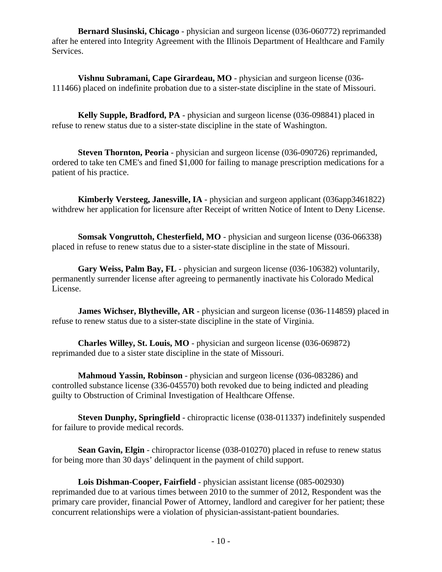**Bernard Slusinski, Chicago** - physician and surgeon license (036-060772) reprimanded after he entered into Integrity Agreement with the Illinois Department of Healthcare and Family Services.

**Vishnu Subramani, Cape Girardeau, MO** - physician and surgeon license (036- 111466) placed on indefinite probation due to a sister-state discipline in the state of Missouri.

**Kelly Supple, Bradford, PA** - physician and surgeon license (036-098841) placed in refuse to renew status due to a sister-state discipline in the state of Washington.

**Steven Thornton, Peoria** - physician and surgeon license (036-090726) reprimanded, ordered to take ten CME's and fined \$1,000 for failing to manage prescription medications for a patient of his practice.

**Kimberly Versteeg, Janesville, IA** - physician and surgeon applicant (036app3461822) withdrew her application for licensure after Receipt of written Notice of Intent to Deny License.

**Somsak Vongruttoh, Chesterfield, MO** - physician and surgeon license (036-066338) placed in refuse to renew status due to a sister-state discipline in the state of Missouri.

**Gary Weiss, Palm Bay, FL** - physician and surgeon license (036-106382) voluntarily, permanently surrender license after agreeing to permanently inactivate his Colorado Medical License.

**James Wichser, Blytheville, AR** - physician and surgeon license (036-114859) placed in refuse to renew status due to a sister-state discipline in the state of Virginia.

**Charles Willey, St. Louis, MO** - physician and surgeon license (036-069872) reprimanded due to a sister state discipline in the state of Missouri.

**Mahmoud Yassin, Robinson** - physician and surgeon license (036-083286) and controlled substance license (336-045570) both revoked due to being indicted and pleading guilty to Obstruction of Criminal Investigation of Healthcare Offense.

**Steven Dunphy, Springfield** - chiropractic license (038-011337) indefinitely suspended for failure to provide medical records.

**Sean Gavin, Elgin** - chiropractor license (038-010270) placed in refuse to renew status for being more than 30 days' delinquent in the payment of child support.

**Lois Dishman-Cooper, Fairfield** - physician assistant license (085-002930) reprimanded due to at various times between 2010 to the summer of 2012, Respondent was the primary care provider, financial Power of Attorney, landlord and caregiver for her patient; these concurrent relationships were a violation of physician-assistant-patient boundaries.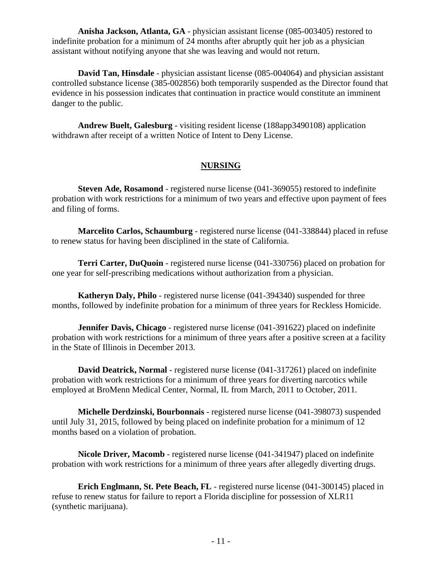**Anisha Jackson, Atlanta, GA** - physician assistant license (085-003405) restored to indefinite probation for a minimum of 24 months after abruptly quit her job as a physician assistant without notifying anyone that she was leaving and would not return.

**David Tan, Hinsdale** - physician assistant license (085-004064) and physician assistant controlled substance license (385-002856) both temporarily suspended as the Director found that evidence in his possession indicates that continuation in practice would constitute an imminent danger to the public.

**Andrew Buelt, Galesburg** - visiting resident license (188app3490108) application withdrawn after receipt of a written Notice of Intent to Deny License.

#### **NURSING**

**Steven Ade, Rosamond** - registered nurse license (041-369055) restored to indefinite probation with work restrictions for a minimum of two years and effective upon payment of fees and filing of forms.

**Marcelito Carlos, Schaumburg** - registered nurse license (041-338844) placed in refuse to renew status for having been disciplined in the state of California.

**Terri Carter, DuQuoin** - registered nurse license (041-330756) placed on probation for one year for self-prescribing medications without authorization from a physician.

**Katheryn Daly, Philo** - registered nurse license (041-394340) suspended for three months, followed by indefinite probation for a minimum of three years for Reckless Homicide.

**Jennifer Davis, Chicago** - registered nurse license (041-391622) placed on indefinite probation with work restrictions for a minimum of three years after a positive screen at a facility in the State of Illinois in December 2013.

**David Deatrick, Normal** - registered nurse license (041-317261) placed on indefinite probation with work restrictions for a minimum of three years for diverting narcotics while employed at BroMenn Medical Center, Normal, IL from March, 2011 to October, 2011.

**Michelle Derdzinski, Bourbonnais** - registered nurse license (041-398073) suspended until July 31, 2015, followed by being placed on indefinite probation for a minimum of 12 months based on a violation of probation.

**Nicole Driver, Macomb** - registered nurse license (041-341947) placed on indefinite probation with work restrictions for a minimum of three years after allegedly diverting drugs.

**Erich Englmann, St. Pete Beach, FL** - registered nurse license (041-300145) placed in refuse to renew status for failure to report a Florida discipline for possession of XLR11 (synthetic marijuana).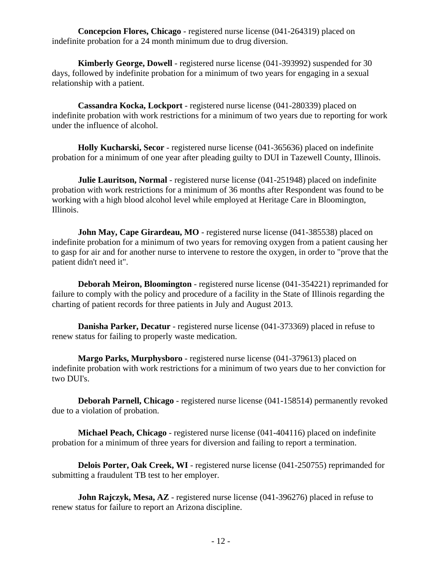**Concepcion Flores, Chicago** - registered nurse license (041-264319) placed on indefinite probation for a 24 month minimum due to drug diversion.

**Kimberly George, Dowell** - registered nurse license (041-393992) suspended for 30 days, followed by indefinite probation for a minimum of two years for engaging in a sexual relationship with a patient.

**Cassandra Kocka, Lockport** - registered nurse license (041-280339) placed on indefinite probation with work restrictions for a minimum of two years due to reporting for work under the influence of alcohol.

**Holly Kucharski, Secor** - registered nurse license (041-365636) placed on indefinite probation for a minimum of one year after pleading guilty to DUI in Tazewell County, Illinois.

**Julie Lauritson, Normal** - registered nurse license (041-251948) placed on indefinite probation with work restrictions for a minimum of 36 months after Respondent was found to be working with a high blood alcohol level while employed at Heritage Care in Bloomington, Illinois.

**John May, Cape Girardeau, MO** - registered nurse license (041-385538) placed on indefinite probation for a minimum of two years for removing oxygen from a patient causing her to gasp for air and for another nurse to intervene to restore the oxygen, in order to "prove that the patient didn't need it".

**Deborah Meiron, Bloomington** - registered nurse license (041-354221) reprimanded for failure to comply with the policy and procedure of a facility in the State of Illinois regarding the charting of patient records for three patients in July and August 2013.

**Danisha Parker, Decatur** - registered nurse license (041-373369) placed in refuse to renew status for failing to properly waste medication.

**Margo Parks, Murphysboro** - registered nurse license (041-379613) placed on indefinite probation with work restrictions for a minimum of two years due to her conviction for two DUI's.

**Deborah Parnell, Chicago** - registered nurse license (041-158514) permanently revoked due to a violation of probation.

**Michael Peach, Chicago** - registered nurse license (041-404116) placed on indefinite probation for a minimum of three years for diversion and failing to report a termination.

**Delois Porter, Oak Creek, WI** - registered nurse license (041-250755) reprimanded for submitting a fraudulent TB test to her employer.

**John Rajczyk, Mesa, AZ** - registered nurse license (041-396276) placed in refuse to renew status for failure to report an Arizona discipline.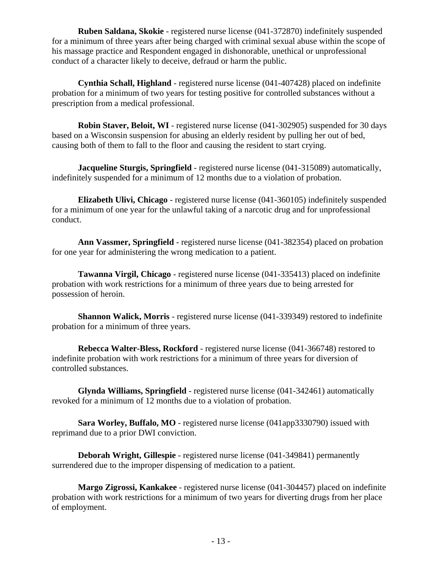**Ruben Saldana, Skokie** - registered nurse license (041-372870) indefinitely suspended for a minimum of three years after being charged with criminal sexual abuse within the scope of his massage practice and Respondent engaged in dishonorable, unethical or unprofessional conduct of a character likely to deceive, defraud or harm the public.

**Cynthia Schall, Highland** - registered nurse license (041-407428) placed on indefinite probation for a minimum of two years for testing positive for controlled substances without a prescription from a medical professional.

**Robin Staver, Beloit, WI** - registered nurse license (041-302905) suspended for 30 days based on a Wisconsin suspension for abusing an elderly resident by pulling her out of bed, causing both of them to fall to the floor and causing the resident to start crying.

**Jacqueline Sturgis, Springfield** - registered nurse license (041-315089) automatically, indefinitely suspended for a minimum of 12 months due to a violation of probation.

**Elizabeth Ulivi, Chicago** - registered nurse license (041-360105) indefinitely suspended for a minimum of one year for the unlawful taking of a narcotic drug and for unprofessional conduct.

**Ann Vassmer, Springfield** - registered nurse license (041-382354) placed on probation for one year for administering the wrong medication to a patient.

**Tawanna Virgil, Chicago** - registered nurse license (041-335413) placed on indefinite probation with work restrictions for a minimum of three years due to being arrested for possession of heroin.

**Shannon Walick, Morris** - registered nurse license (041-339349) restored to indefinite probation for a minimum of three years.

**Rebecca Walter-Bless, Rockford** - registered nurse license (041-366748) restored to indefinite probation with work restrictions for a minimum of three years for diversion of controlled substances.

**Glynda Williams, Springfield** - registered nurse license (041-342461) automatically revoked for a minimum of 12 months due to a violation of probation.

**Sara Worley, Buffalo, MO** - registered nurse license (041app3330790) issued with reprimand due to a prior DWI conviction.

**Deborah Wright, Gillespie** - registered nurse license (041-349841) permanently surrendered due to the improper dispensing of medication to a patient.

**Margo Zigrossi, Kankakee** - registered nurse license (041-304457) placed on indefinite probation with work restrictions for a minimum of two years for diverting drugs from her place of employment.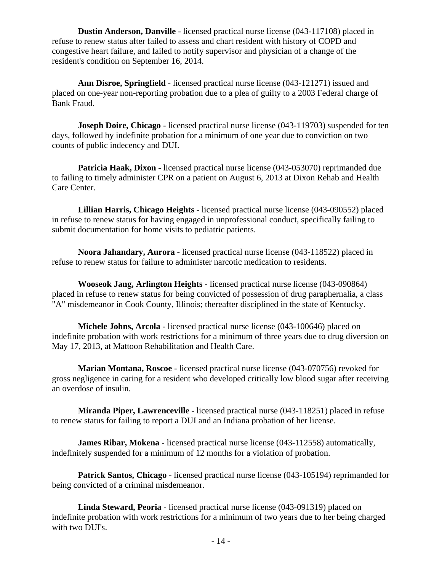**Dustin Anderson, Danville** - licensed practical nurse license (043-117108) placed in refuse to renew status after failed to assess and chart resident with history of COPD and congestive heart failure, and failed to notify supervisor and physician of a change of the resident's condition on September 16, 2014.

**Ann Disroe, Springfield** - licensed practical nurse license (043-121271) issued and placed on one-year non-reporting probation due to a plea of guilty to a 2003 Federal charge of Bank Fraud.

**Joseph Doire, Chicago** - licensed practical nurse license (043-119703) suspended for ten days, followed by indefinite probation for a minimum of one year due to conviction on two counts of public indecency and DUI.

**Patricia Haak, Dixon** - licensed practical nurse license (043-053070) reprimanded due to failing to timely administer CPR on a patient on August 6, 2013 at Dixon Rehab and Health Care Center.

**Lillian Harris, Chicago Heights** - licensed practical nurse license (043-090552) placed in refuse to renew status for having engaged in unprofessional conduct, specifically failing to submit documentation for home visits to pediatric patients.

**Noora Jahandary, Aurora** - licensed practical nurse license (043-118522) placed in refuse to renew status for failure to administer narcotic medication to residents.

**Wooseok Jang, Arlington Heights** - licensed practical nurse license (043-090864) placed in refuse to renew status for being convicted of possession of drug paraphernalia, a class "A" misdemeanor in Cook County, Illinois; thereafter disciplined in the state of Kentucky.

**Michele Johns, Arcola** - licensed practical nurse license (043-100646) placed on indefinite probation with work restrictions for a minimum of three years due to drug diversion on May 17, 2013, at Mattoon Rehabilitation and Health Care.

**Marian Montana, Roscoe** - licensed practical nurse license (043-070756) revoked for gross negligence in caring for a resident who developed critically low blood sugar after receiving an overdose of insulin.

**Miranda Piper, Lawrenceville** - licensed practical nurse (043-118251) placed in refuse to renew status for failing to report a DUI and an Indiana probation of her license.

**James Ribar, Mokena** - licensed practical nurse license (043-112558) automatically, indefinitely suspended for a minimum of 12 months for a violation of probation.

**Patrick Santos, Chicago** - licensed practical nurse license (043-105194) reprimanded for being convicted of a criminal misdemeanor.

**Linda Steward, Peoria** - licensed practical nurse license (043-091319) placed on indefinite probation with work restrictions for a minimum of two years due to her being charged with two DUI's.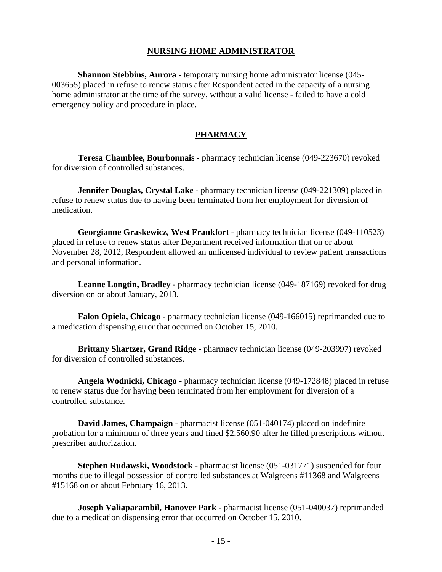#### **NURSING HOME ADMINISTRATOR**

**Shannon Stebbins, Aurora** - temporary nursing home administrator license (045-003655) placed in refuse to renew status after Respondent acted in the capacity of a nursing home administrator at the time of the survey, without a valid license - failed to have a cold emergency policy and procedure in place.

#### **PHARMACY**

**Teresa Chamblee, Bourbonnais** - pharmacy technician license (049-223670) revoked for diversion of controlled substances.

**Jennifer Douglas, Crystal Lake** - pharmacy technician license (049-221309) placed in refuse to renew status due to having been terminated from her employment for diversion of medication.

**Georgianne Graskewicz, West Frankfort** - pharmacy technician license (049-110523) placed in refuse to renew status after Department received information that on or about November 28, 2012, Respondent allowed an unlicensed individual to review patient transactions and personal information.

**Leanne Longtin, Bradley** - pharmacy technician license (049-187169) revoked for drug diversion on or about January, 2013.

**Falon Opiela, Chicago** - pharmacy technician license (049-166015) reprimanded due to a medication dispensing error that occurred on October 15, 2010.

**Brittany Shartzer, Grand Ridge** - pharmacy technician license (049-203997) revoked for diversion of controlled substances.

**Angela Wodnicki, Chicago** - pharmacy technician license (049-172848) placed in refuse to renew status due for having been terminated from her employment for diversion of a controlled substance.

**David James, Champaign** - pharmacist license (051-040174) placed on indefinite probation for a minimum of three years and fined \$2,560.90 after he filled prescriptions without prescriber authorization.

**Stephen Rudawski, Woodstock** - pharmacist license (051-031771) suspended for four months due to illegal possession of controlled substances at Walgreens #11368 and Walgreens #15168 on or about February 16, 2013.

**Joseph Valiaparambil, Hanover Park** - pharmacist license (051-040037) reprimanded due to a medication dispensing error that occurred on October 15, 2010.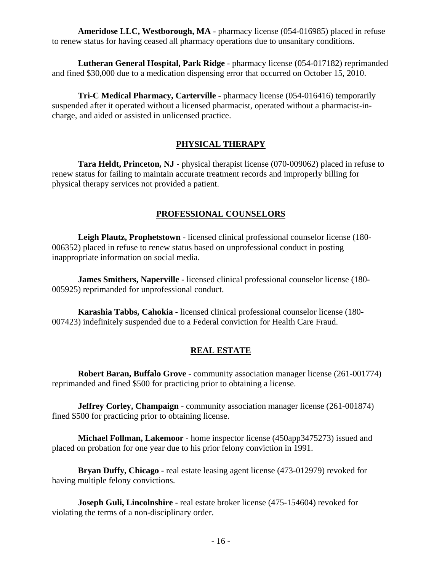**Ameridose LLC, Westborough, MA** - pharmacy license (054-016985) placed in refuse to renew status for having ceased all pharmacy operations due to unsanitary conditions.

**Lutheran General Hospital, Park Ridge** - pharmacy license (054-017182) reprimanded and fined \$30,000 due to a medication dispensing error that occurred on October 15, 2010.

**Tri-C Medical Pharmacy, Carterville** - pharmacy license (054-016416) temporarily suspended after it operated without a licensed pharmacist, operated without a pharmacist-incharge, and aided or assisted in unlicensed practice.

### **PHYSICAL THERAPY**

**Tara Heldt, Princeton, NJ** - physical therapist license (070-009062) placed in refuse to renew status for failing to maintain accurate treatment records and improperly billing for physical therapy services not provided a patient.

### **PROFESSIONAL COUNSELORS**

**Leigh Plautz, Prophetstown** - licensed clinical professional counselor license (180- 006352) placed in refuse to renew status based on unprofessional conduct in posting inappropriate information on social media.

**James Smithers, Naperville** - licensed clinical professional counselor license (180- 005925) reprimanded for unprofessional conduct.

**Karashia Tabbs, Cahokia** - licensed clinical professional counselor license (180- 007423) indefinitely suspended due to a Federal conviction for Health Care Fraud.

## **REAL ESTATE**

**Robert Baran, Buffalo Grove** - community association manager license (261-001774) reprimanded and fined \$500 for practicing prior to obtaining a license.

**Jeffrey Corley, Champaign** - community association manager license (261-001874) fined \$500 for practicing prior to obtaining license.

**Michael Follman, Lakemoor** - home inspector license (450app3475273) issued and placed on probation for one year due to his prior felony conviction in 1991.

**Bryan Duffy, Chicago** - real estate leasing agent license (473-012979) revoked for having multiple felony convictions.

**Joseph Guli, Lincolnshire** - real estate broker license (475-154604) revoked for violating the terms of a non-disciplinary order.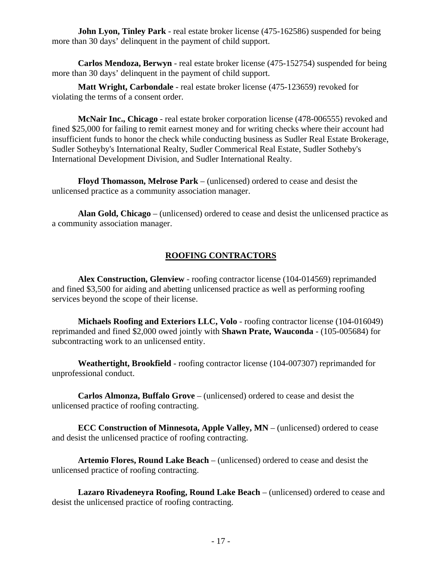**John Lyon, Tinley Park** - real estate broker license (475-162586) suspended for being more than 30 days' delinquent in the payment of child support.

**Carlos Mendoza, Berwyn** - real estate broker license (475-152754) suspended for being more than 30 days' delinquent in the payment of child support.

**Matt Wright, Carbondale** - real estate broker license (475-123659) revoked for violating the terms of a consent order.

**McNair Inc., Chicago** - real estate broker corporation license (478-006555) revoked and fined \$25,000 for failing to remit earnest money and for writing checks where their account had insufficient funds to honor the check while conducting business as Sudler Real Estate Brokerage, Sudler Sotheyby's International Realty, Sudler Commerical Real Estate, Sudler Sotheby's International Development Division, and Sudler International Realty.

**Floyd Thomasson, Melrose Park** – (unlicensed) ordered to cease and desist the unlicensed practice as a community association manager.

**Alan Gold, Chicago** – (unlicensed) ordered to cease and desist the unlicensed practice as a community association manager.

## **ROOFING CONTRACTORS**

**Alex Construction, Glenview** - roofing contractor license (104-014569) reprimanded and fined \$3,500 for aiding and abetting unlicensed practice as well as performing roofing services beyond the scope of their license.

**Michaels Roofing and Exteriors LLC, Volo** - roofing contractor license (104-016049) reprimanded and fined \$2,000 owed jointly with **Shawn Prate, Wauconda** - (105-005684) for subcontracting work to an unlicensed entity.

**Weathertight, Brookfield** - roofing contractor license (104-007307) reprimanded for unprofessional conduct.

**Carlos Almonza, Buffalo Grove** – (unlicensed) ordered to cease and desist the unlicensed practice of roofing contracting.

**ECC Construction of Minnesota, Apple Valley, MN** – (unlicensed) ordered to cease and desist the unlicensed practice of roofing contracting.

**Artemio Flores, Round Lake Beach** – (unlicensed) ordered to cease and desist the unlicensed practice of roofing contracting.

**Lazaro Rivadeneyra Roofing, Round Lake Beach** – (unlicensed) ordered to cease and desist the unlicensed practice of roofing contracting.